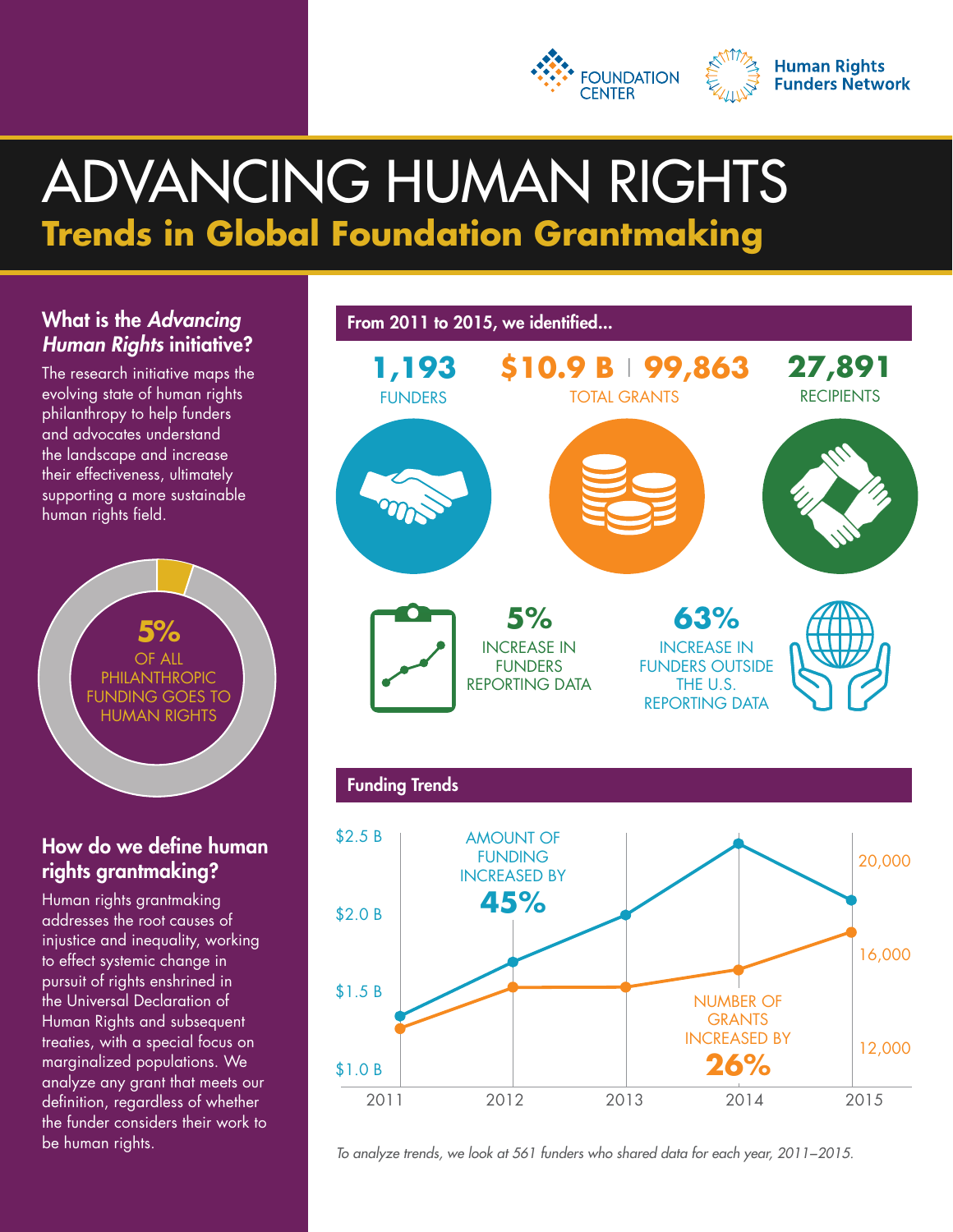



# ADVANCING HUMAN RIGHTS **Trends in Global Foundation Grantmaking**

## What is the *Advancing Human Rights* initiative?

The research initiative maps the evolving state of human rights philanthropy to help funders and advocates understand the landscape and increase their effectiveness, ultimately supporting a more sustainable human rights field.



## How do we define human rights grantmaking?

Human rights grantmaking addresses the root causes of injustice and inequality, working to effect systemic change in pursuit of rights enshrined in the Universal Declaration of Human Rights and subsequent treaties, with a special focus on marginalized populations. We analyze any grant that meets our definition, regardless of whether the funder considers their work to be human rights.



*To analyze trends, we look at 561 funders who shared data for each year, 2011−2015.*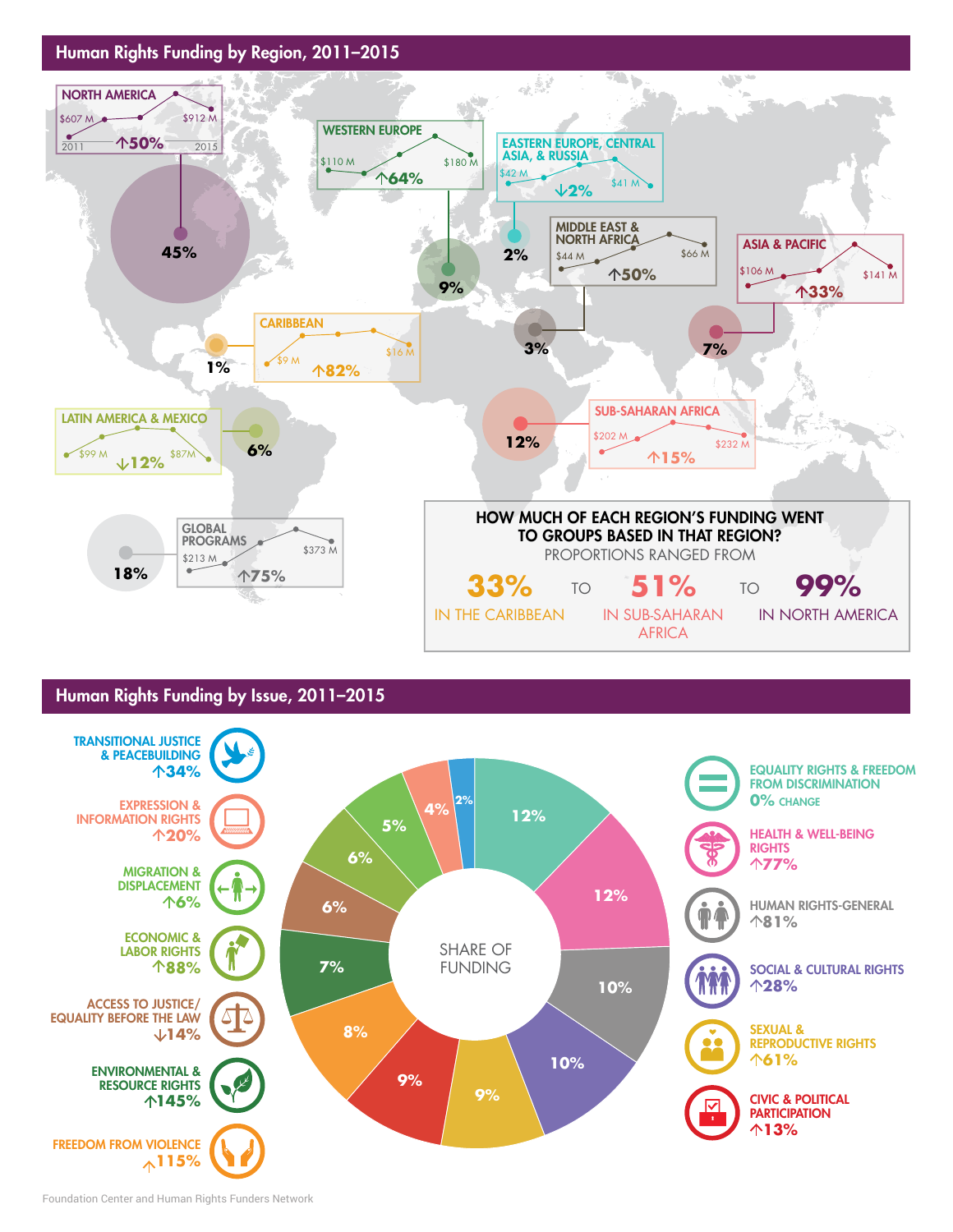

#### Human Rights Funding by Issue, 2011–2015

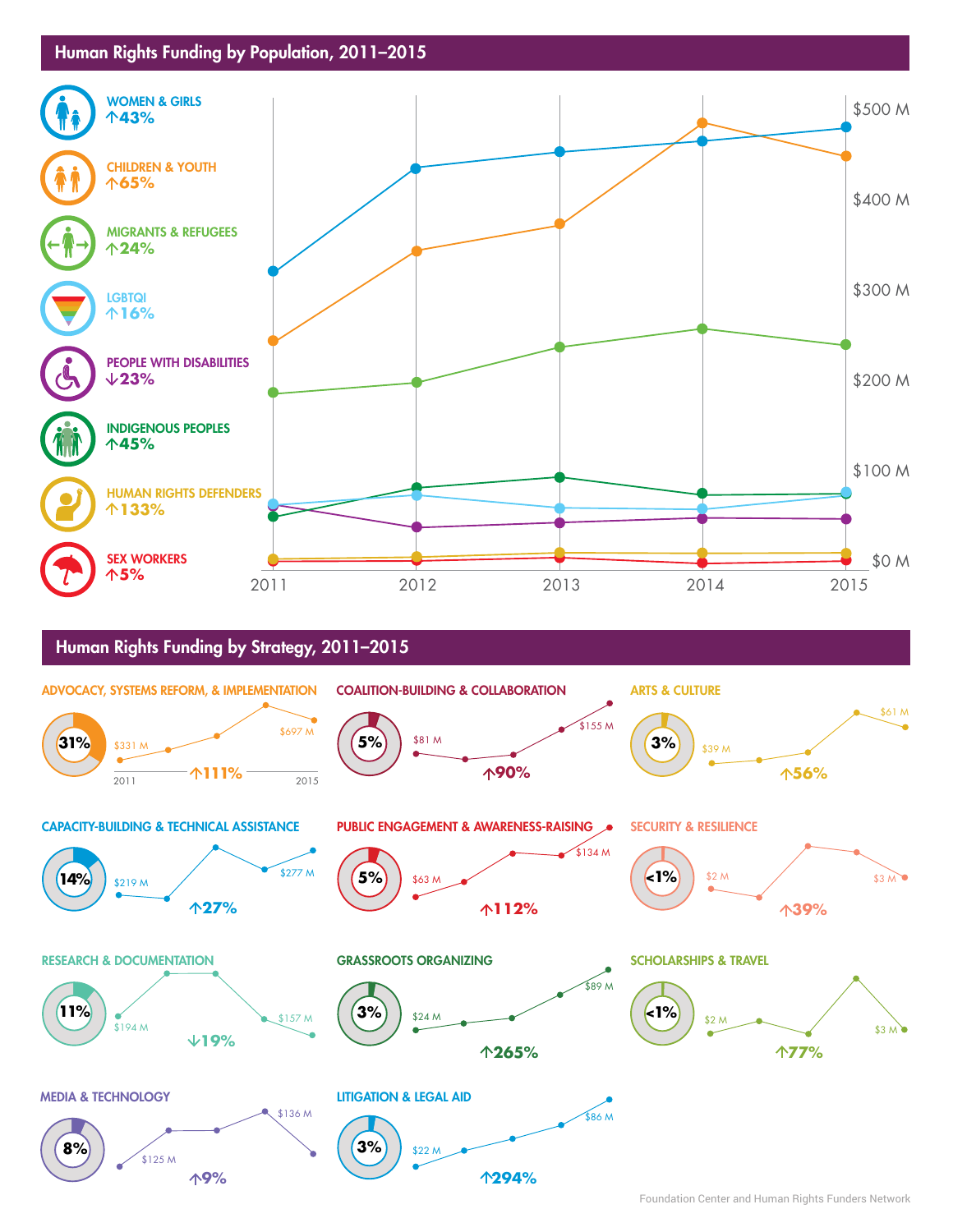#### Human Rights Funding by Population, 2011–2015



#### Human Rights Funding by Strategy, 2011–2015